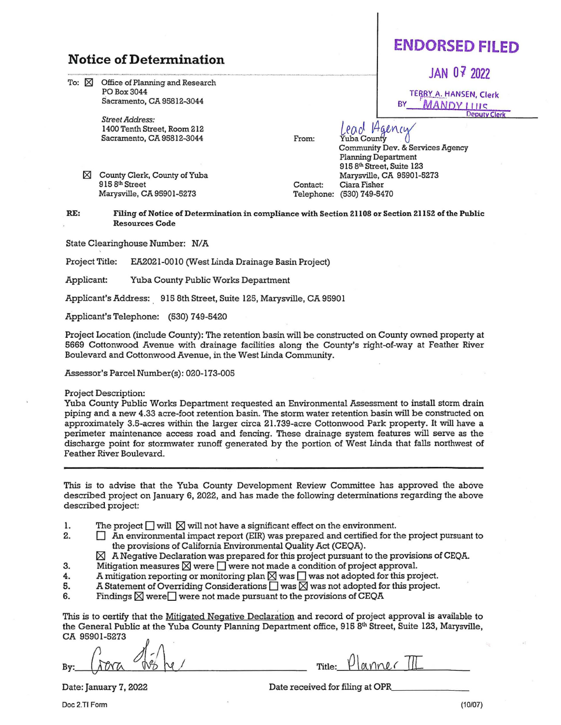## **Notice of Determination**

To:  $\boxtimes$  Office of Planning and Research POBox3044 Sacramento, CA 95812-3044

> *Street Address:*  1400 Tenth Street, Room 212 Sacramento, CA 95812-3044 From:

181 County Clerk, County of Yuba 915 8<sup>th</sup> Street Marysville, CA 95901-5273

Contact: Telephone: (530) 749-5470 Marysville, CA 95901-5273 Ciara Fisher

Lead Agency

Planning Department

915 8th Street, Suite 123

Community Dev. & Setvices Agency

**RE: Filing of Notice of Determination** in **compliance with Section 21108 or Section ZllSZ of the Public Resources Code** 

State Clearinghouse Number: N/A

Project Title: EA2021-0010 (West Linda Drainage Basin Project)

Applicant: Yuba County Public Works Department

Applicant's Address: . 915 8th Street, Suite 125, Marysville, CA 95901

Applicant's Telephone: (530) 749-5420

Project Location (include County): The retention basin will be constructed on County owned property at 5669 Cottonwood Avenue with drainage facilities along the County's right-of-way at Feather River Boulevard and Cottonwood Avenue, in the West Linda Community.

Assessor's Parcel Number(s): 020-173-005

## Project Description:

Yuba County Public Works Department requested an Environmental Assessment to install storm drain piping and a new 4.33 acre-foot retention basin. The storm water retention basin will be constructed on approximately 3.5-acres within the larger circa 21.739-acre Cottonwood Park property. It will have a perimeter maintenance access road and fencing. These drainage system features will serve as the discharge point for stormwater runoff generated by the portion of West Linda that falls northwest of Feather River Boulevard.

This is to advise that the Yuba County Development Review Committee has approved the above described project on January 6, 2022, and has made the following determinations regarding the above described project:

- 1. The project  $\square$  will  $\square$  will not have a significant effect on the environment.<br>2.  $\square$  An environmental impact report (EIR) was prepared and certified for the
- $\Box$  An environmental impact report (EIR) was prepared and certified for the project pursuant to the provisions of California Environmental Quality Act (CEQA).
- $\boxtimes~$  A Negative Declaration was prepared for this project pursuant to the provisions of CEQA.
- 3. Mitigation measures  $\times$  were  $\Box$  were not made a condition of project approval.<br>4. A mitigation reporting or monitoring plan  $\times$  was  $\Box$  was not adopted for this pro
- 4. A mitigation reporting or monitoring plan  $\times$  was  $\Box$  was not adopted for this project.<br>5. A Statement of Overriding Considerations  $\Box$  was  $\boxtimes$  was not adopted for this project.
- A Statement of Overriding Considerations  $\Box$  was  $\boxtimes$  was not adopted for this project.
- 6. Findings  $\boxtimes$  were  $\Box$  were not made pursuant to the provisions of CEQA

This is to certify that the Mitigated Negative Declaration and record of project approval is available to the General Public at the Yuba County Planning Department office, 915 8th Street, Suite 123, Marysville, CA 95901-5273 *j* \_.

 $By:$   $\int_{\partial Y}$   $\int_{\partial Y}$   $\int_{\partial Y}$   $\int_{\partial Y}$   $\int_{\partial Y}$   $\int_{\partial Y}$   $\int_{\partial Y}$   $\int_{\partial Y}$   $\int_{\partial Y}$   $\int_{\partial Y}$   $\int_{\partial Y}$   $\int_{\partial Y}$   $\int_{\partial Y}$   $\int_{\partial Y}$   $\int_{\partial Y}$   $\int_{\partial Y}$   $\int_{\partial Y}$   $\int_{\partial Y}$   $\int_{\partial Y}$   $\int_{\partial Y}$   $\int_{\partial Y}$   $\int_{\$ 

**JAN** *Oi* **2022** 

TERRY A. HANSEN, Clerk **MANDY I IIIS** Deputy Clerk

## **ENDORSED FILED**

Date received for filing at OPR\_

Doc 2.TI Form

Date: January 7, 2022

(10/07)